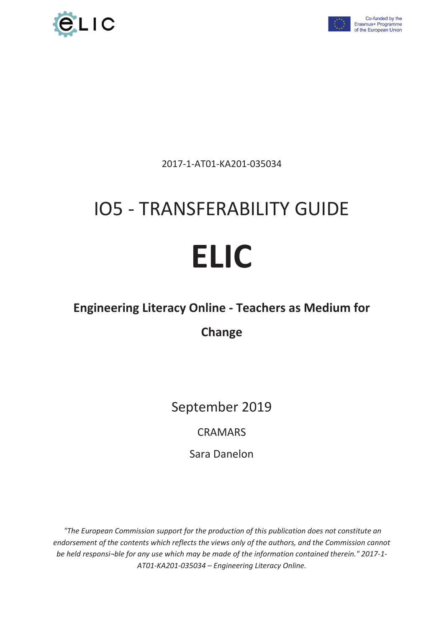



2017-1-AT01-KA201-035034

# IO5 - TRANSFERABILITY GUIDE

# **ELIC**

## **Engineering Literacy Online - Teachers as Medium for**

# **Change**

September 2019

CRAMARS

Sara Danelon

 *"The European Commission support for the production of this publication does not constitute an endorsement of the contents which reflects the views only of the authors, and the Commission cannot be held responsi¬ble for any use which may be made of the information contained therein." 2017-1- AT01-KA201-035034 – Engineering Literacy Online.*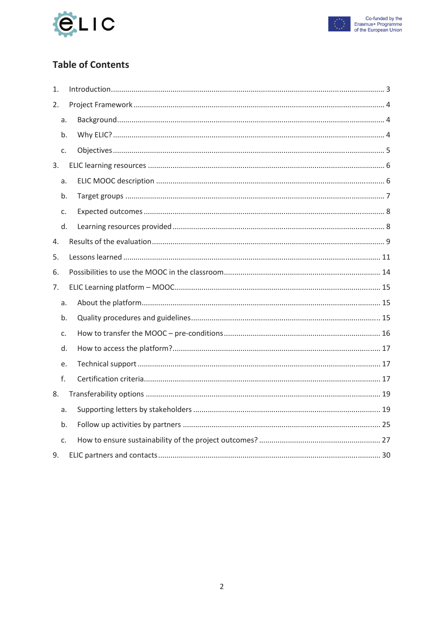



## **Table of Contents**

| 1. |    |  |
|----|----|--|
| 2. |    |  |
|    | a. |  |
|    | b. |  |
| c. |    |  |
| 3. |    |  |
|    | a. |  |
|    | b. |  |
| c. |    |  |
|    | d. |  |
| 4. |    |  |
| 5. |    |  |
| 6. |    |  |
| 7. |    |  |
|    | a. |  |
|    | b. |  |
| c. |    |  |
|    | d. |  |
|    | e. |  |
| f. |    |  |
| 8. |    |  |
|    | a. |  |
|    | b. |  |
| c. |    |  |
| 9. |    |  |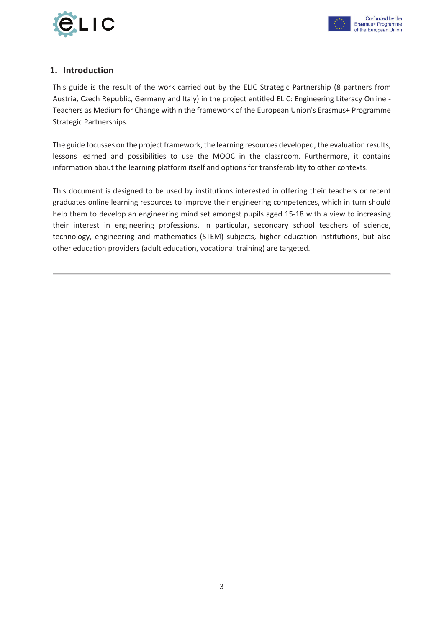



#### **1. Introduction**

This guide is the result of the work carried out by the ELIC Strategic Partnership (8 partners from Austria, Czech Republic, Germany and Italy) in the project entitled ELIC: Engineering Literacy Online - Teachers as Medium for Change within the framework of the European Union's Erasmus+ Programme Strategic Partnerships.

The guide focusses on the project framework, the learning resources developed, the evaluation results, lessons learned and possibilities to use the MOOC in the classroom. Furthermore, it contains information about the learning platform itself and options for transferability to other contexts.

This document is designed to be used by institutions interested in offering their teachers or recent graduates online learning resources to improve their engineering competences, which in turn should help them to develop an engineering mind set amongst pupils aged 15-18 with a view to increasing their interest in engineering professions. In particular, secondary school teachers of science, technology, engineering and mathematics (STEM) subjects, higher education institutions, but also other education providers (adult education, vocational training) are targeted.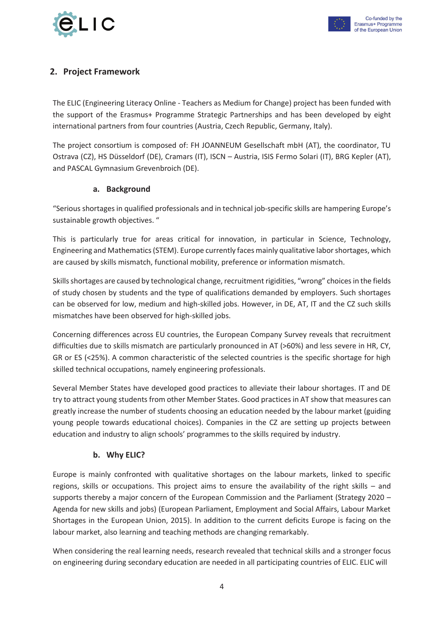



#### **2. Project Framework**

The ELIC (Engineering Literacy Online - Teachers as Medium for Change) project has been funded with the support of the Erasmus+ Programme Strategic Partnerships and has been developed by eight international partners from four countries (Austria, Czech Republic, Germany, Italy).

The project consortium is composed of: FH JOANNEUM Gesellschaft mbH (AT), the coordinator, TU Ostrava (CZ), HS Düsseldorf (DE), Cramars (IT), ISCN – Austria, ISIS Fermo Solari (IT), BRG Kepler (AT), and PASCAL Gymnasium Grevenbroich (DE).

#### **a. Background**

"Serious shortages in qualified professionals and in technical job-specific skills are hampering Europe's sustainable growth objectives. "

This is particularly true for areas critical for innovation, in particular in Science, Technology, Engineering and Mathematics (STEM). Europe currently faces mainly qualitative labor shortages, which are caused by skills mismatch, functional mobility, preference or information mismatch.

Skills shortages are caused by technological change, recruitment rigidities, "wrong" choices in the fields of study chosen by students and the type of qualifications demanded by employers. Such shortages can be observed for low, medium and high-skilled jobs. However, in DE, AT, IT and the CZ such skills mismatches have been observed for high-skilled jobs.

Concerning differences across EU countries, the European Company Survey reveals that recruitment difficulties due to skills mismatch are particularly pronounced in AT (>60%) and less severe in HR, CY, GR or ES (<25%). A common characteristic of the selected countries is the specific shortage for high skilled technical occupations, namely engineering professionals.

Several Member States have developed good practices to alleviate their labour shortages. IT and DE try to attract young students from other Member States. Good practices in AT show that measures can greatly increase the number of students choosing an education needed by the labour market (guiding young people towards educational choices). Companies in the CZ are setting up projects between education and industry to align schools' programmes to the skills required by industry.

#### **b. Why ELIC?**

Europe is mainly confronted with qualitative shortages on the labour markets, linked to specific regions, skills or occupations. This project aims to ensure the availability of the right skills – and supports thereby a major concern of the European Commission and the Parliament (Strategy 2020 – Agenda for new skills and jobs) (European Parliament, Employment and Social Affairs, Labour Market Shortages in the European Union, 2015). In addition to the current deficits Europe is facing on the labour market, also learning and teaching methods are changing remarkably.

When considering the real learning needs, research revealed that technical skills and a stronger focus on engineering during secondary education are needed in all participating countries of ELIC. ELIC will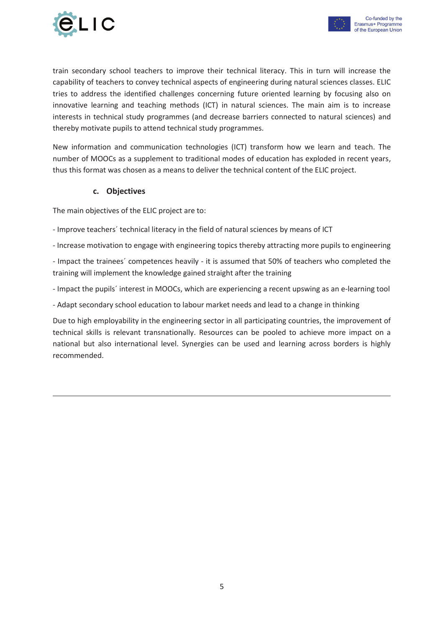

New information and communication technologies (ICT) transform how we learn and teach. The number of MOOCs as a supplement to traditional modes of education has exploded in recent years, thus this format was chosen as a means to deliver the technical content of the ELIC project.

#### **c. Objectives**

The main objectives of the ELIC project are to:

- Improve teachers´ technical literacy in the field of natural sciences by means of ICT
- Increase motivation to engage with engineering topics thereby attracting more pupils to engineering
- Impact the trainees´ competences heavily it is assumed that 50% of teachers who completed the training will implement the knowledge gained straight after the training
- Impact the pupils´ interest in MOOCs, which are experiencing a recent upswing as an e-learning tool
- Adapt secondary school education to labour market needs and lead to a change in thinking

Due to high employability in the engineering sector in all participating countries, the improvement of technical skills is relevant transnationally. Resources can be pooled to achieve more impact on a national but also international level. Synergies can be used and learning across borders is highly recommended.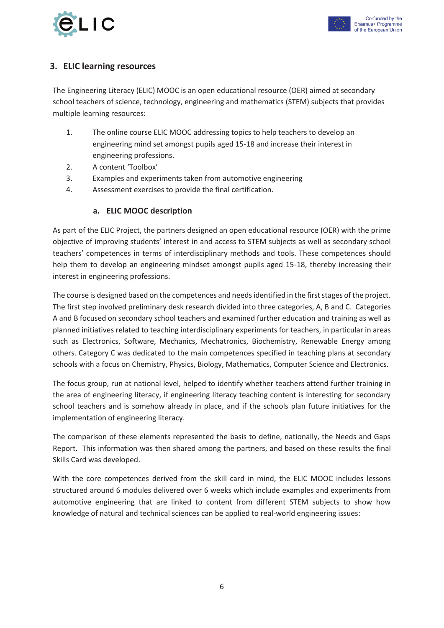



#### **3. ELIC learning resources**

The Engineering Literacy (ELIC) MOOC is an open educational resource (OER) aimed at secondary school teachers of science, technology, engineering and mathematics (STEM) subjects that provides multiple learning resources:

- 1. The online course ELIC MOOC addressing topics to help teachers to develop an engineering mind set amongst pupils aged 15-18 and increase their interest in engineering professions.
- 2. A content 'Toolbox'
- 3. Examples and experiments taken from automotive engineering
- 4. Assessment exercises to provide the final certification.

#### **a. ELIC MOOC description**

As part of the ELIC Project, the partners designed an open educational resource (OER) with the prime objective of improving students' interest in and access to STEM subjects as well as secondary school teachers' competences in terms of interdisciplinary methods and tools. These competences should help them to develop an engineering mindset amongst pupils aged 15-18, thereby increasing their interest in engineering professions.

The course is designed based on the competences and needs identified in the first stages of the project. The first step involved preliminary desk research divided into three categories, A, B and C. Categories A and B focused on secondary school teachers and examined further education and training as well as planned initiatives related to teaching interdisciplinary experiments for teachers, in particular in areas such as Electronics, Software, Mechanics, Mechatronics, Biochemistry, Renewable Energy among others. Category C was dedicated to the main competences specified in teaching plans at secondary schools with a focus on Chemistry, Physics, Biology, Mathematics, Computer Science and Electronics.

The focus group, run at national level, helped to identify whether teachers attend further training in the area of engineering literacy, if engineering literacy teaching content is interesting for secondary school teachers and is somehow already in place, and if the schools plan future initiatives for the implementation of engineering literacy.

The comparison of these elements represented the basis to define, nationally, the Needs and Gaps Report. This information was then shared among the partners, and based on these results the final Skills Card was developed.

With the core competences derived from the skill card in mind, the ELIC MOOC includes lessons structured around 6 modules delivered over 6 weeks which include examples and experiments from automotive engineering that are linked to content from different STEM subjects to show how knowledge of natural and technical sciences can be applied to real-world engineering issues: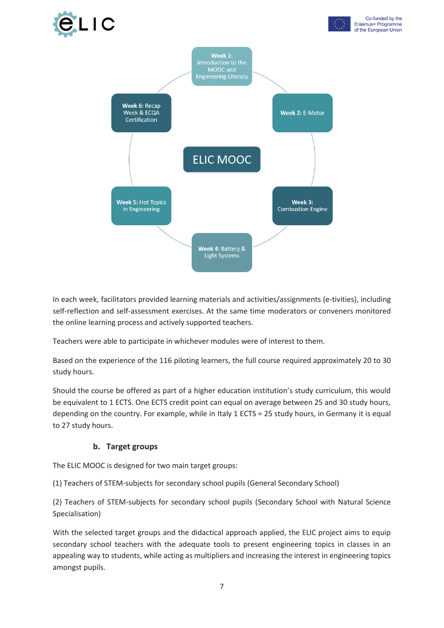



In each week, facilitators provided learning materials and activities/assignments (e-tivities), including self-reflection and self-assessment exercises. At the same time moderators or conveners monitored the online learning process and actively supported teachers.

Teachers were able to participate in whichever modules were of interest to them.

Based on the experience of the 116 piloting learners, the full course required approximately 20 to 30 study hours.

Should the course be offered as part of a higher education institution's study curriculum, this would be equivalent to 1 ECTS. One ECTS credit point can equal on average between 25 and 30 study hours, depending on the country. For example, while in Italy 1 ECTS = 25 study hours, in Germany it is equal to 27 study hours.

#### **b. Target groups**

The ELIC MOOC is designed for two main target groups:

(1) Teachers of STEM-subjects for secondary school pupils (General Secondary School)

(2) Teachers of STEM-subjects for secondary school pupils (Secondary School with Natural Science Specialisation)

With the selected target groups and the didactical approach applied, the ELIC project aims to equip secondary school teachers with the adequate tools to present engineering topics in classes in an appealing way to students, while acting as multipliers and increasing the interest in engineering topics amongst pupils.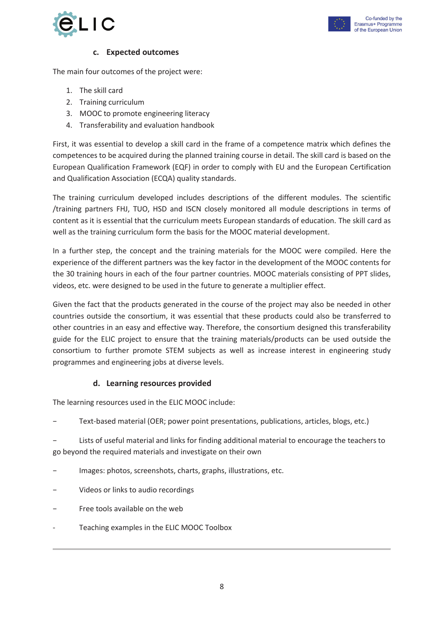

Co-funded by the

#### **c. Expected outcomes**

The main four outcomes of the project were:

- 1. The skill card
- 2. Training curriculum
- 3. MOOC to promote engineering literacy
- 4. Transferability and evaluation handbook

First, it was essential to develop a skill card in the frame of a competence matrix which defines the competences to be acquired during the planned training course in detail. The skill card is based on the European Qualification Framework (EQF) in order to comply with EU and the European Certification and Qualification Association (ECQA) quality standards.

The training curriculum developed includes descriptions of the different modules. The scientific /training partners FHJ, TUO, HSD and ISCN closely monitored all module descriptions in terms of content as it is essential that the curriculum meets European standards of education. The skill card as well as the training curriculum form the basis for the MOOC material development.

In a further step, the concept and the training materials for the MOOC were compiled. Here the experience of the different partners was the key factor in the development of the MOOC contents for the 30 training hours in each of the four partner countries. MOOC materials consisting of PPT slides, videos, etc. were designed to be used in the future to generate a multiplier effect.

Given the fact that the products generated in the course of the project may also be needed in other countries outside the consortium, it was essential that these products could also be transferred to other countries in an easy and effective way. Therefore, the consortium designed this transferability guide for the ELIC project to ensure that the training materials/products can be used outside the consortium to further promote STEM subjects as well as increase interest in engineering study programmes and engineering jobs at diverse levels.

#### **d. Learning resources provided**

The learning resources used in the ELIC MOOC include:

− Text-based material (OER; power point presentations, publications, articles, blogs, etc.)

Lists of useful material and links for finding additional material to encourage the teachers to go beyond the required materials and investigate on their own

- − Images: photos, screenshots, charts, graphs, illustrations, etc.
- − Videos or links to audio recordings
- Free tools available on the web
- Teaching examples in the ELIC MOOC Toolbox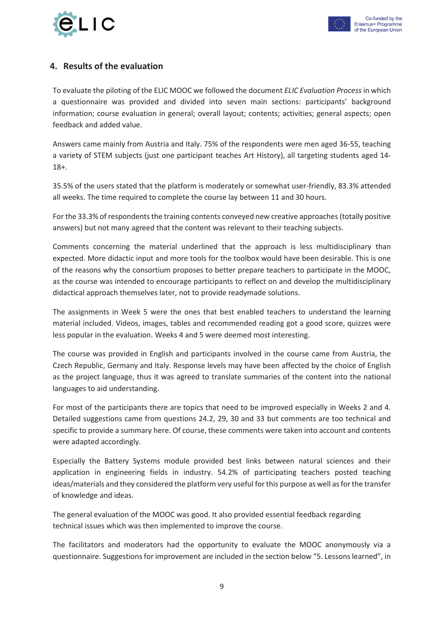

#### **4. Results of the evaluation**

To evaluate the piloting of the ELIC MOOC we followed the document *ELIC Evaluation Process* in which a questionnaire was provided and divided into seven main sections: participants' background information; course evaluation in general; overall layout; contents; activities; general aspects; open feedback and added value.

Answers came mainly from Austria and Italy. 75% of the respondents were men aged 36-55, teaching a variety of STEM subjects (just one participant teaches Art History), all targeting students aged 14- 18+.

35.5% of the users stated that the platform is moderately or somewhat user-friendly, 83.3% attended all weeks. The time required to complete the course lay between 11 and 30 hours.

For the 33.3% of respondents the training contents conveyed new creative approaches (totally positive answers) but not many agreed that the content was relevant to their teaching subjects.

Comments concerning the material underlined that the approach is less multidisciplinary than expected. More didactic input and more tools for the toolbox would have been desirable. This is one of the reasons why the consortium proposes to better prepare teachers to participate in the MOOC, as the course was intended to encourage participants to reflect on and develop the multidisciplinary didactical approach themselves later, not to provide readymade solutions.

The assignments in Week 5 were the ones that best enabled teachers to understand the learning material included. Videos, images, tables and recommended reading got a good score, quizzes were less popular in the evaluation. Weeks 4 and 5 were deemed most interesting.

The course was provided in English and participants involved in the course came from Austria, the Czech Republic, Germany and Italy. Response levels may have been affected by the choice of English as the project language, thus it was agreed to translate summaries of the content into the national languages to aid understanding.

For most of the participants there are topics that need to be improved especially in Weeks 2 and 4. Detailed suggestions came from questions 24.2, 29, 30 and 33 but comments are too technical and specific to provide a summary here. Of course, these comments were taken into account and contents were adapted accordingly.

Especially the Battery Systems module provided best links between natural sciences and their application in engineering fields in industry. 54.2% of participating teachers posted teaching ideas/materials and they considered the platform very useful for this purpose as well as for the transfer of knowledge and ideas.

The general evaluation of the MOOC was good. It also provided essential feedback regarding technical issues which was then implemented to improve the course.

The facilitators and moderators had the opportunity to evaluate the MOOC anonymously via a questionnaire. Suggestions for improvement are included in the section below "5. Lessons learned", in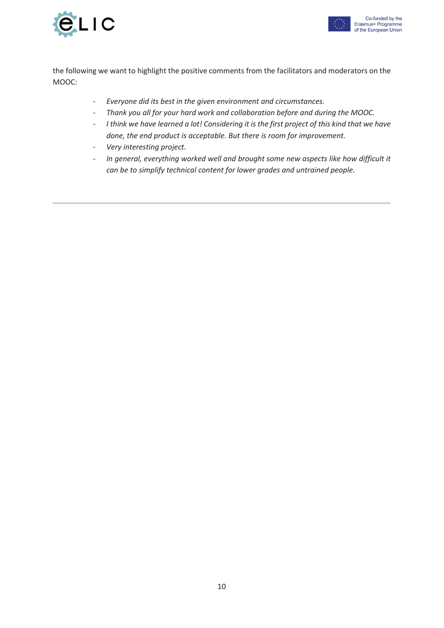



the following we want to highlight the positive comments from the facilitators and moderators on the MOOC:

- *Everyone did its best in the given environment and circumstances.*
- *Thank you all for your hard work and collaboration before and during the MOOC.*
- *I think we have learned a lot! Considering it is the first project of this kind that we have done, the end product is acceptable. But there is room for improvement.*
- *Very interesting project.*
- *In general, everything worked well and brought some new aspects like how difficult it can be to simplify technical content for lower grades and untrained people.*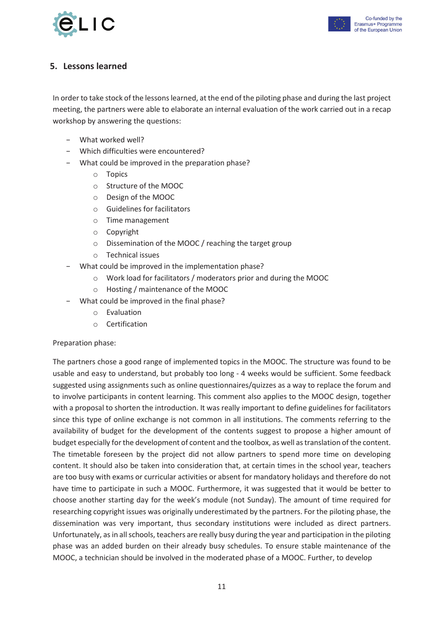



#### **5. Lessons learned**

In order to take stock of the lessons learned, at the end of the piloting phase and during the last project meeting, the partners were able to elaborate an internal evaluation of the work carried out in a recap workshop by answering the questions:

- − What worked well?
- − Which difficulties were encountered?
- − What could be improved in the preparation phase?
	- o Topics
	- o Structure of the MOOC
	- o Design of the MOOC
	- o Guidelines for facilitators
	- o Time management
	- o Copyright
	- o Dissemination of the MOOC / reaching the target group
	- o Technical issues
- − What could be improved in the implementation phase?
	- o Work load for facilitators / moderators prior and during the MOOC
	- o Hosting / maintenance of the MOOC
- − What could be improved in the final phase?
	- o Evaluation
	- o Certification

#### Preparation phase:

The partners chose a good range of implemented topics in the MOOC. The structure was found to be usable and easy to understand, but probably too long - 4 weeks would be sufficient. Some feedback suggested using assignments such as online questionnaires/quizzes as a way to replace the forum and to involve participants in content learning. This comment also applies to the MOOC design, together with a proposal to shorten the introduction. It was really important to define guidelines for facilitators since this type of online exchange is not common in all institutions. The comments referring to the availability of budget for the development of the contents suggest to propose a higher amount of budget especially for the development of content and the toolbox, as well as translation of the content. The timetable foreseen by the project did not allow partners to spend more time on developing content. It should also be taken into consideration that, at certain times in the school year, teachers are too busy with exams or curricular activities or absent for mandatory holidays and therefore do not have time to participate in such a MOOC. Furthermore, it was suggested that it would be better to choose another starting day for the week's module (not Sunday). The amount of time required for researching copyright issues was originally underestimated by the partners. For the piloting phase, the dissemination was very important, thus secondary institutions were included as direct partners. Unfortunately, as in all schools, teachers are really busy during the year and participation in the piloting phase was an added burden on their already busy schedules. To ensure stable maintenance of the MOOC, a technician should be involved in the moderated phase of a MOOC. Further, to develop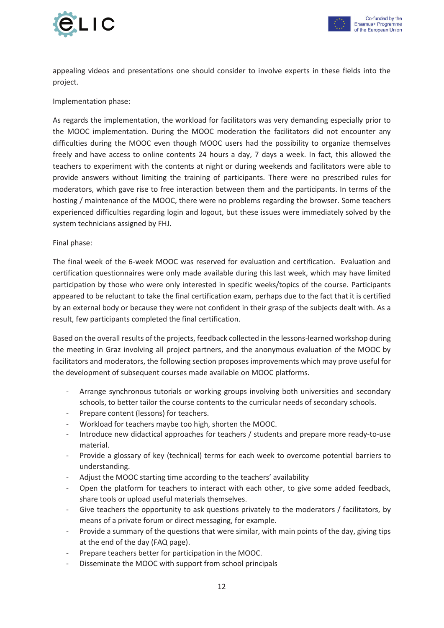



appealing videos and presentations one should consider to involve experts in these fields into the project.

Implementation phase:

As regards the implementation, the workload for facilitators was very demanding especially prior to the MOOC implementation. During the MOOC moderation the facilitators did not encounter any difficulties during the MOOC even though MOOC users had the possibility to organize themselves freely and have access to online contents 24 hours a day, 7 days a week. In fact, this allowed the teachers to experiment with the contents at night or during weekends and facilitators were able to provide answers without limiting the training of participants. There were no prescribed rules for moderators, which gave rise to free interaction between them and the participants. In terms of the hosting / maintenance of the MOOC, there were no problems regarding the browser. Some teachers experienced difficulties regarding login and logout, but these issues were immediately solved by the system technicians assigned by FHJ.

Final phase:

The final week of the 6-week MOOC was reserved for evaluation and certification. Evaluation and certification questionnaires were only made available during this last week, which may have limited participation by those who were only interested in specific weeks/topics of the course. Participants appeared to be reluctant to take the final certification exam, perhaps due to the fact that it is certified by an external body or because they were not confident in their grasp of the subjects dealt with. As a result, few participants completed the final certification.

Based on the overall results of the projects, feedback collected in the lessons-learned workshop during the meeting in Graz involving all project partners, and the anonymous evaluation of the MOOC by facilitators and moderators, the following section proposes improvements which may prove useful for the development of subsequent courses made available on MOOC platforms.

- Arrange synchronous tutorials or working groups involving both universities and secondary schools, to better tailor the course contents to the curricular needs of secondary schools.
- Prepare content (lessons) for teachers.
- Workload for teachers maybe too high, shorten the MOOC.
- Introduce new didactical approaches for teachers / students and prepare more ready-to-use material.
- Provide a glossary of key (technical) terms for each week to overcome potential barriers to understanding.
- Adjust the MOOC starting time according to the teachers' availability
- Open the platform for teachers to interact with each other, to give some added feedback, share tools or upload useful materials themselves.
- Give teachers the opportunity to ask questions privately to the moderators / facilitators, by means of a private forum or direct messaging, for example.
- Provide a summary of the questions that were similar, with main points of the day, giving tips at the end of the day (FAQ page).
- Prepare teachers better for participation in the MOOC.
- Disseminate the MOOC with support from school principals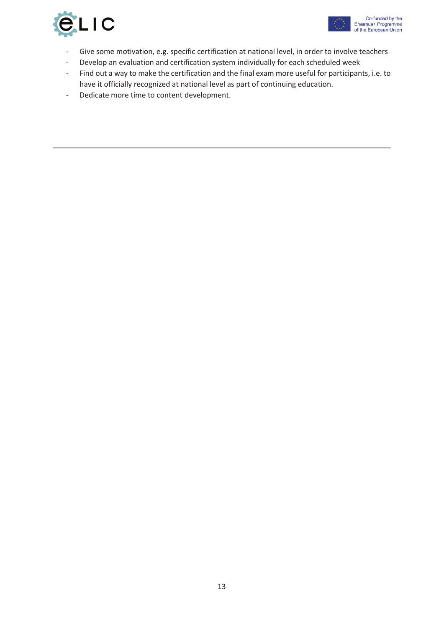

- Give some motivation, e.g. specific certification at national level, in order to involve teachers
- Develop an evaluation and certification system individually for each scheduled week
- Find out a way to make the certification and the final exam more useful for participants, i.e. to have it officially recognized at national level as part of continuing education.
- Dedicate more time to content development.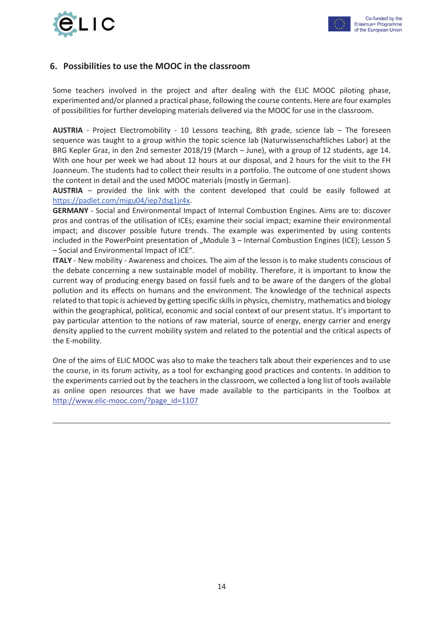



#### **6. Possibilities to use the MOOC in the classroom**

Some teachers involved in the project and after dealing with the ELIC MOOC piloting phase, experimented and/or planned a practical phase, following the course contents. Here are four examples of possibilities for further developing materials delivered via the MOOC for use in the classroom.

**AUSTRIA** - Project Electromobility - 10 Lessons teaching, 8th grade, science lab – The foreseen sequence was taught to a group within the topic science lab (Naturwissenschaftliches Labor) at the BRG Kepler Graz, in den 2nd semester 2018/19 (March – June), with a group of 12 students, age 14. With one hour per week we had about 12 hours at our disposal, and 2 hours for the visit to the FH Joanneum. The students had to collect their results in a portfolio. The outcome of one student shows the content in detail and the used MOOC materials (mostly in German).

**AUSTRIA** – provided the link with the content developed that could be easily followed at https://padlet.com/migu04/iep7dsg1jr4x.

**GERMANY** - Social and Environmental Impact of Internal Combustion Engines. Aims are to: discover pros and contras of the utilisation of ICEs; examine their social impact; examine their environmental impact; and discover possible future trends. The example was experimented by using contents included in the PowerPoint presentation of "Module 3 – Internal Combustion Engines (ICE); Lesson 5 – Social and Environmental Impact of ICE".

**ITALY** - New mobility - Awareness and choices. The aim of the lesson is to make students conscious of the debate concerning a new sustainable model of mobility. Therefore, it is important to know the current way of producing energy based on fossil fuels and to be aware of the dangers of the global pollution and its effects on humans and the environment. The knowledge of the technical aspects related to that topic is achieved by getting specific skills in physics, chemistry, mathematics and biology within the geographical, political, economic and social context of our present status. It's important to pay particular attention to the notions of raw material, source of energy, energy carrier and energy density applied to the current mobility system and related to the potential and the critical aspects of the E-mobility.

One of the aims of ELIC MOOC was also to make the teachers talk about their experiences and to use the course, in its forum activity, as a tool for exchanging good practices and contents. In addition to the experiments carried out by the teachers in the classroom, we collected a long list of tools available as online open resources that we have made available to the participants in the Toolbox at http://www.elic-mooc.com/?page\_id=1107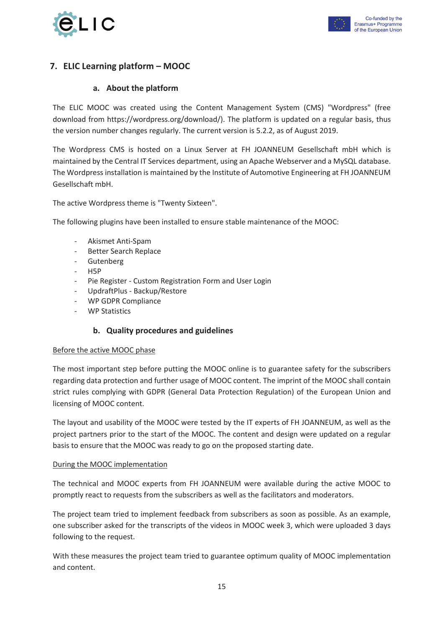

### **7. ELIC Learning platform – MOOC**

#### **a. About the platform**

The ELIC MOOC was created using the Content Management System (CMS) "Wordpress" (free download from https://wordpress.org/download/). The platform is updated on a regular basis, thus the version number changes regularly. The current version is 5.2.2, as of August 2019.

The Wordpress CMS is hosted on a Linux Server at FH JOANNEUM Gesellschaft mbH which is maintained by the Central IT Services department, using an Apache Webserver and a MySQL database. The Wordpress installation is maintained by the Institute of Automotive Engineering at FH JOANNEUM Gesellschaft mbH.

The active Wordpress theme is "Twenty Sixteen".

The following plugins have been installed to ensure stable maintenance of the MOOC:

- Akismet Anti-Spam
- Better Search Replace
- **Gutenberg**
- H5P
- Pie Register Custom Registration Form and User Login
- UpdraftPlus Backup/Restore
- WP GDPR Compliance
- WP Statistics

#### **b. Quality procedures and guidelines**

#### Before the active MOOC phase

The most important step before putting the MOOC online is to guarantee safety for the subscribers regarding data protection and further usage of MOOC content. The imprint of the MOOC shall contain strict rules complying with GDPR (General Data Protection Regulation) of the European Union and licensing of MOOC content.

The layout and usability of the MOOC were tested by the IT experts of FH JOANNEUM, as well as the project partners prior to the start of the MOOC. The content and design were updated on a regular basis to ensure that the MOOC was ready to go on the proposed starting date.

#### During the MOOC implementation

The technical and MOOC experts from FH JOANNEUM were available during the active MOOC to promptly react to requests from the subscribers as well as the facilitators and moderators.

The project team tried to implement feedback from subscribers as soon as possible. As an example, one subscriber asked for the transcripts of the videos in MOOC week 3, which were uploaded 3 days following to the request.

With these measures the project team tried to guarantee optimum quality of MOOC implementation and content.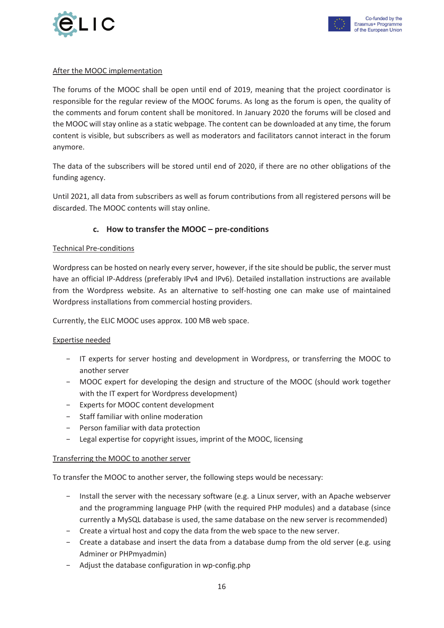

#### After the MOOC implementation

The forums of the MOOC shall be open until end of 2019, meaning that the project coordinator is responsible for the regular review of the MOOC forums. As long as the forum is open, the quality of the comments and forum content shall be monitored. In January 2020 the forums will be closed and the MOOC will stay online as a static webpage. The content can be downloaded at any time, the forum content is visible, but subscribers as well as moderators and facilitators cannot interact in the forum anymore.

The data of the subscribers will be stored until end of 2020, if there are no other obligations of the funding agency.

Until 2021, all data from subscribers as well as forum contributions from all registered persons will be discarded. The MOOC contents will stay online.

#### **c. How to transfer the MOOC – pre-conditions**

#### Technical Pre-conditions

Wordpress can be hosted on nearly every server, however, if the site should be public, the server must have an official IP-Address (preferably IPv4 and IPv6). Detailed installation instructions are available from the Wordpress website. As an alternative to self-hosting one can make use of maintained Wordpress installations from commercial hosting providers.

Currently, the ELIC MOOC uses approx. 100 MB web space.

#### Expertise needed

- − IT experts for server hosting and development in Wordpress, or transferring the MOOC to another server
- − MOOC expert for developing the design and structure of the MOOC (should work together with the IT expert for Wordpress development)
- − Experts for MOOC content development
- − Staff familiar with online moderation
- − Person familiar with data protection
- − Legal expertise for copyright issues, imprint of the MOOC, licensing

#### Transferring the MOOC to another server

To transfer the MOOC to another server, the following steps would be necessary:

- − Install the server with the necessary software (e.g. a Linux server, with an Apache webserver and the programming language PHP (with the required PHP modules) and a database (since currently a MySQL database is used, the same database on the new server is recommended)
- − Create a virtual host and copy the data from the web space to the new server.
- − Create a database and insert the data from a database dump from the old server (e.g. using Adminer or PHPmyadmin)
- − Adjust the database configuration in wp-config.php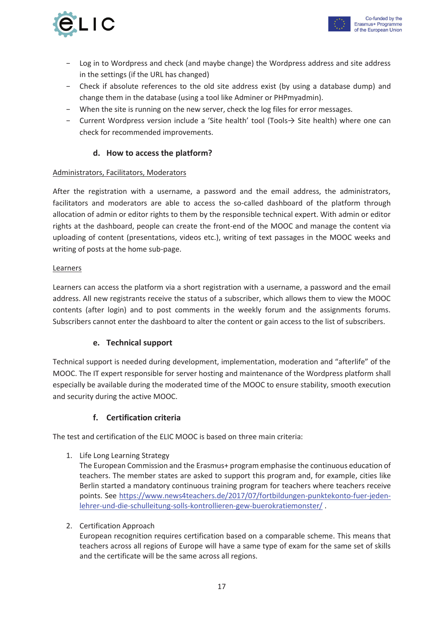



- − Log in to Wordpress and check (and maybe change) the Wordpress address and site address in the settings (if the URL has changed)
- − Check if absolute references to the old site address exist (by using a database dump) and change them in the database (using a tool like Adminer or PHPmyadmin).
- − When the site is running on the new server, check the log files for error messages.
- − Current Wordpress version include a 'Site health' tool (Tools→ Site health) where one can check for recommended improvements.

#### **d. How to access the platform?**

#### Administrators, Facilitators, Moderators

After the registration with a username, a password and the email address, the administrators, facilitators and moderators are able to access the so-called dashboard of the platform through allocation of admin or editor rights to them by the responsible technical expert. With admin or editor rights at the dashboard, people can create the front-end of the MOOC and manage the content via uploading of content (presentations, videos etc.), writing of text passages in the MOOC weeks and writing of posts at the home sub-page.

#### **Learners**

Learners can access the platform via a short registration with a username, a password and the email address. All new registrants receive the status of a subscriber, which allows them to view the MOOC contents (after login) and to post comments in the weekly forum and the assignments forums. Subscribers cannot enter the dashboard to alter the content or gain access to the list of subscribers.

#### **e. Technical support**

Technical support is needed during development, implementation, moderation and "afterlife" of the MOOC. The IT expert responsible for server hosting and maintenance of the Wordpress platform shall especially be available during the moderated time of the MOOC to ensure stability, smooth execution and security during the active MOOC.

#### **f. Certification criteria**

The test and certification of the ELIC MOOC is based on three main criteria:

1. Life Long Learning Strategy

The European Commission and the Erasmus+ program emphasise the continuous education of teachers. The member states are asked to support this program and, for example, cities like Berlin started a mandatory continuous training program for teachers where teachers receive points. See https://www.news4teachers.de/2017/07/fortbildungen-punktekonto-fuer-jedenlehrer-und-die-schulleitung-solls-kontrollieren-gew-buerokratiemonster/ .

#### 2. Certification Approach

European recognition requires certification based on a comparable scheme. This means that teachers across all regions of Europe will have a same type of exam for the same set of skills and the certificate will be the same across all regions.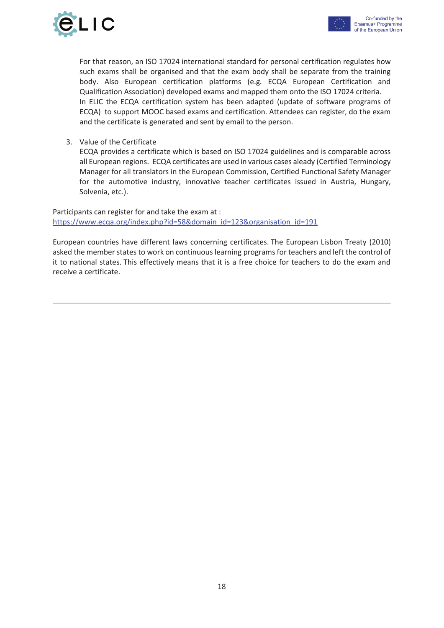

For that reason, an ISO 17024 international standard for personal certification regulates how such exams shall be organised and that the exam body shall be separate from the training body. Also European certification platforms (e.g. ECQA European Certification and Qualification Association) developed exams and mapped them onto the ISO 17024 criteria. In ELIC the ECQA certification system has been adapted (update of software programs of ECQA) to support MOOC based exams and certification. Attendees can register, do the exam and the certificate is generated and sent by email to the person.

3. Value of the Certificate

ECQA provides a certificate which is based on ISO 17024 guidelines and is comparable across all European regions. ECQA certificates are used in various cases aleady (Certified Terminology Manager for all translators in the European Commission, Certified Functional Safety Manager for the automotive industry, innovative teacher certificates issued in Austria, Hungary, Solvenia, etc.).

Participants can register for and take the exam at : https://www.ecqa.org/index.php?id=58&domain\_id=123&organisation\_id=191

European countries have different laws concerning certificates. The European Lisbon Treaty (2010) asked the member states to work on continuous learning programs for teachers and left the control of it to national states. This effectively means that it is a free choice for teachers to do the exam and receive a certificate.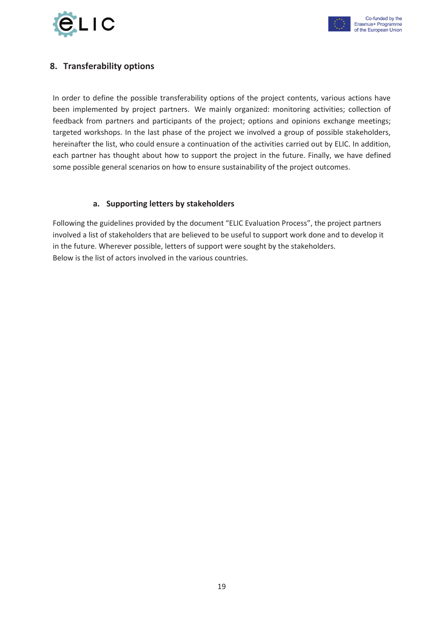



#### **8. Transferability options**

In order to define the possible transferability options of the project contents, various actions have been implemented by project partners. We mainly organized: monitoring activities; collection of feedback from partners and participants of the project; options and opinions exchange meetings; targeted workshops. In the last phase of the project we involved a group of possible stakeholders, hereinafter the list, who could ensure a continuation of the activities carried out by ELIC. In addition, each partner has thought about how to support the project in the future. Finally, we have defined some possible general scenarios on how to ensure sustainability of the project outcomes.

#### **a. Supporting letters by stakeholders**

Following the guidelines provided by the document "ELIC Evaluation Process", the project partners involved a list of stakeholders that are believed to be useful to support work done and to develop it in the future. Wherever possible, letters of support were sought by the stakeholders. Below is the list of actors involved in the various countries.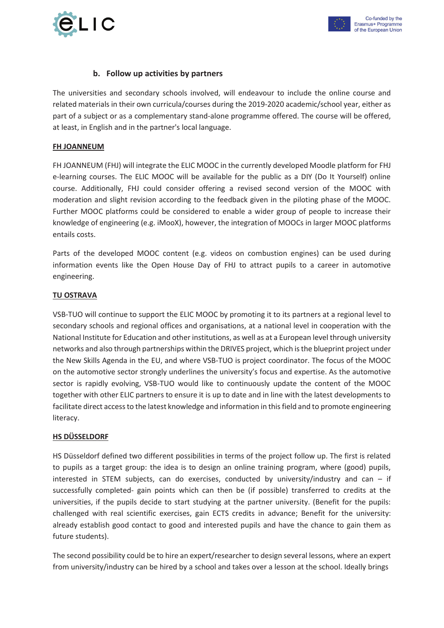

#### **b. Follow up activities by partners**

The universities and secondary schools involved, will endeavour to include the online course and related materials in their own curricula/courses during the 2019-2020 academic/school year, either as part of a subject or as a complementary stand-alone programme offered. The course will be offered, at least, in English and in the partner's local language.

#### **FH JOANNEUM**

FH JOANNEUM (FHJ) will integrate the ELIC MOOC in the currently developed Moodle platform for FHJ e-learning courses. The ELIC MOOC will be available for the public as a DIY (Do It Yourself) online course. Additionally, FHJ could consider offering a revised second version of the MOOC with moderation and slight revision according to the feedback given in the piloting phase of the MOOC. Further MOOC platforms could be considered to enable a wider group of people to increase their knowledge of engineering (e.g. iMooX), however, the integration of MOOCs in larger MOOC platforms entails costs.

Parts of the developed MOOC content (e.g. videos on combustion engines) can be used during information events like the Open House Day of FHJ to attract pupils to a career in automotive engineering.

#### **TU OSTRAVA**

VSB-TUO will continue to support the ELIC MOOC by promoting it to its partners at a regional level to secondary schools and regional offices and organisations, at a national level in cooperation with the National Institute for Education and other institutions, as well as at a European level through university networks and also through partnerships within the DRIVES project, which is the blueprint project under the New Skills Agenda in the EU, and where VSB-TUO is project coordinator. The focus of the MOOC on the automotive sector strongly underlines the university's focus and expertise. As the automotive sector is rapidly evolving, VSB-TUO would like to continuously update the content of the MOOC together with other ELIC partners to ensure it is up to date and in line with the latest developments to facilitate direct access to the latest knowledge and information in this field and to promote engineering literacy.

#### **HS DÜSSELDORF**

HS Düsseldorf defined two different possibilities in terms of the project follow up. The first is related to pupils as a target group: the idea is to design an online training program, where (good) pupils, interested in STEM subjects, can do exercises, conducted by university/industry and can – if successfully completed- gain points which can then be (if possible) transferred to credits at the universities, if the pupils decide to start studying at the partner university. (Benefit for the pupils: challenged with real scientific exercises, gain ECTS credits in advance; Benefit for the university: already establish good contact to good and interested pupils and have the chance to gain them as future students).

The second possibility could be to hire an expert/researcher to design several lessons, where an expert from university/industry can be hired by a school and takes over a lesson at the school. Ideally brings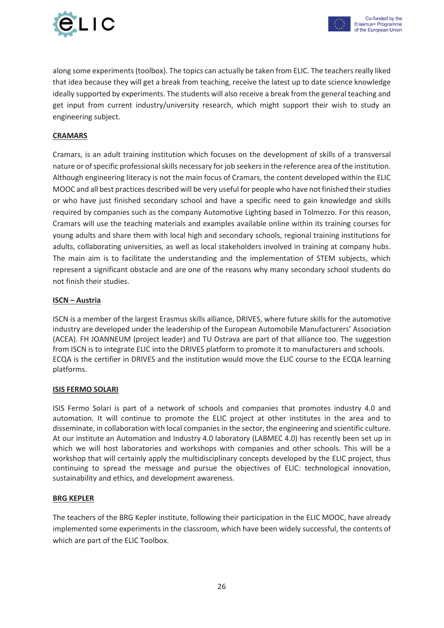

along some experiments (toolbox). The topics can actually be taken from ELIC. The teachers really liked that idea because they will get a break from teaching, receive the latest up to date science knowledge ideally supported by experiments. The students will also receive a break from the general teaching and get input from current industry/university research, which might support their wish to study an engineering subject.

#### **CRAMARS**

Cramars, is an adult training institution which focuses on the development of skills of a transversal nature or of specific professional skills necessary for job seekers in the reference area of the institution. Although engineering literacy is not the main focus of Cramars, the content developed within the ELIC MOOC and all best practices described will be very useful for people who have not finished their studies or who have just finished secondary school and have a specific need to gain knowledge and skills required by companies such as the company Automotive Lighting based in Tolmezzo. For this reason, Cramars will use the teaching materials and examples available online within its training courses for young adults and share them with local high and secondary schools, regional training institutions for adults, collaborating universities, as well as local stakeholders involved in training at company hubs. The main aim is to facilitate the understanding and the implementation of STEM subjects, which represent a significant obstacle and are one of the reasons why many secondary school students do not finish their studies.

#### **ISCN – Austria**

ISCN is a member of the largest Erasmus skills alliance, DRIVES, where future skills for the automotive industry are developed under the leadership of the European Automobile Manufacturers' Association (ACEA). FH JOANNEUM (project leader) and TU Ostrava are part of that alliance too. The suggestion from ISCN is to integrate ELIC into the DRIVES platform to promote it to manufacturers and schools. ECQA is the certifier in DRIVES and the institution would move the ELIC course to the ECQA learning platforms.

#### **ISIS FERMO SOLARI**

ISIS Fermo Solari is part of a network of schools and companies that promotes industry 4.0 and automation. It will continue to promote the ELIC project at other institutes in the area and to disseminate, in collaboration with local companies in the sector, the engineering and scientific culture. At our institute an Automation and Industry 4.0 laboratory (LABMEC 4.0) has recently been set up in which we will host laboratories and workshops with companies and other schools. This will be a workshop that will certainly apply the multidisciplinary concepts developed by the ELIC project, thus continuing to spread the message and pursue the objectives of ELIC: technological innovation, sustainability and ethics, and development awareness.

#### **BRG KEPLER**

The teachers of the BRG Kepler institute, following their participation in the ELIC MOOC, have already implemented some experiments in the classroom, which have been widely successful, the contents of which are part of the ELIC Toolbox.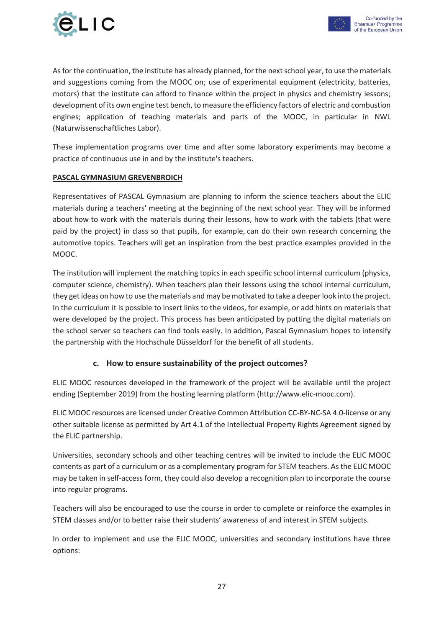

As for the continuation, the institute has already planned, for the next school year, to use the materials and suggestions coming from the MOOC on; use of experimental equipment (electricity, batteries, motors) that the institute can afford to finance within the project in physics and chemistry lessons; development of its own engine test bench, to measure the efficiency factors of electric and combustion engines; application of teaching materials and parts of the MOOC, in particular in NWL (Naturwissenschaftliches Labor).

These implementation programs over time and after some laboratory experiments may become a practice of continuous use in and by the institute's teachers.

#### **PASCAL GYMNASIUM GREVENBROICH**

Representatives of PASCAL Gymnasium are planning to inform the science teachers about the ELIC materials during a teachers' meeting at the beginning of the next school year. They will be informed about how to work with the materials during their lessons, how to work with the tablets (that were paid by the project) in class so that pupils, for example, can do their own research concerning the automotive topics. Teachers will get an inspiration from the best practice examples provided in the MOOC.

The institution will implement the matching topics in each specific school internal curriculum (physics, computer science, chemistry). When teachers plan their lessons using the school internal curriculum, they get ideas on how to use the materials and may be motivated to take a deeper look into the project. In the curriculum it is possible to insert links to the videos, for example, or add hints on materials that were developed by the project. This process has been anticipated by putting the digital materials on the school server so teachers can find tools easily. In addition, Pascal Gymnasium hopes to intensify the partnership with the Hochschule Düsseldorf for the benefit of all students.

#### **c. How to ensure sustainability of the project outcomes?**

ELIC MOOC resources developed in the framework of the project will be available until the project ending (September 2019) from the hosting learning platform (http://www.elic-mooc.com).

ELIC MOOC resources are licensed under Creative Common Attribution CC-BY-NC-SA 4.0-license or any other suitable license as permitted by Art 4.1 of the Intellectual Property Rights Agreement signed by the ELIC partnership.

Universities, secondary schools and other teaching centres will be invited to include the ELIC MOOC contents as part of a curriculum or as a complementary program for STEM teachers. As the ELIC MOOC may be taken in self-access form, they could also develop a recognition plan to incorporate the course into regular programs.

Teachers will also be encouraged to use the course in order to complete or reinforce the examples in STEM classes and/or to better raise their students' awareness of and interest in STEM subjects.

In order to implement and use the ELIC MOOC, universities and secondary institutions have three options: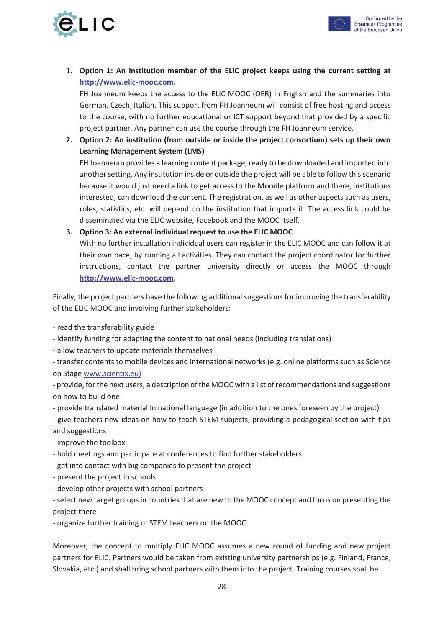



1. **Option 1: An institution member of the ELIC project keeps using the current setting at http://www.elic-mooc.com.**

FH Joanneum keeps the access to the ELIC MOOC (OER) in English and the summaries into German, Czech, Italian. This support from FH Joanneum will consist of free hosting and access to the course, with no further educational or ICT support beyond that provided by a specific project partner. Any partner can use the course through the FH Joanneum service.

**2. Option 2: An institution (from outside or inside the project consortium) sets up their own Learning Management System (LMS)** 

FH Joanneum provides a learning content package, ready to be downloaded and imported into another setting. Any institution inside or outside the project will be able to follow this scenario because it would just need a link to get access to the Moodle platform and there, institutions interested, can download the content. The registration, as well as other aspects such as users, roles, statistics, etc. will depend on the institution that imports it. The access link could be disseminated via the ELIC website, Facebook and the MOOC itself.

#### **3. Option 3: An external individual request to use the ELIC MOOC**

With no further installation individual users can register in the ELIC MOOC and can follow it at their own pace, by running all activities. They can contact the project coordinator for further instructions, contact the partner university directly or access the MOOC through **http://www.elic-mooc.com.**

Finally, the project partners have the following additional suggestions for improving the transferability of the ELIC MOOC and involving further stakeholders:

- read the transferability guide

- identify funding for adapting the content to national needs (including translations)

- allow teachers to update materials themselves

- transfer contents to mobile devices and international networks (e.g. online platforms such as Science on Stage www.scientix.eu)

- provide, for the next users, a description of the MOOC with a list of recommendations and suggestions on how to build one

- provide translated material in national language (in addition to the ones foreseen by the project)

- give teachers new ideas on how to teach STEM subjects, providing a pedagogical section with tips and suggestions

- improve the toolbox
- hold meetings and participate at conferences to find further stakeholders
- get into contact with big companies to present the project
- present the project in schools
- develop other projects with school partners

- select new target groups in countries that are new to the MOOC concept and focus on presenting the project there

- organize further training of STEM teachers on the MOOC

Moreover, the concept to multiply ELIC MOOC assumes a new round of funding and new project partners for ELIC. Partners would be taken from existing university partnerships (e.g. Finland, France, Slovakia, etc.) and shall bring school partners with them into the project. Training courses shall be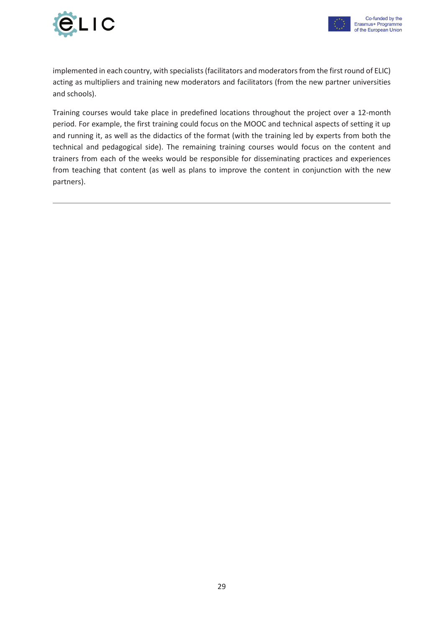



implemented in each country, with specialists (facilitators and moderators from the first round of ELIC) acting as multipliers and training new moderators and facilitators (from the new partner universities and schools).

Training courses would take place in predefined locations throughout the project over a 12-month period. For example, the first training could focus on the MOOC and technical aspects of setting it up and running it, as well as the didactics of the format (with the training led by experts from both the technical and pedagogical side). The remaining training courses would focus on the content and trainers from each of the weeks would be responsible for disseminating practices and experiences from teaching that content (as well as plans to improve the content in conjunction with the new partners).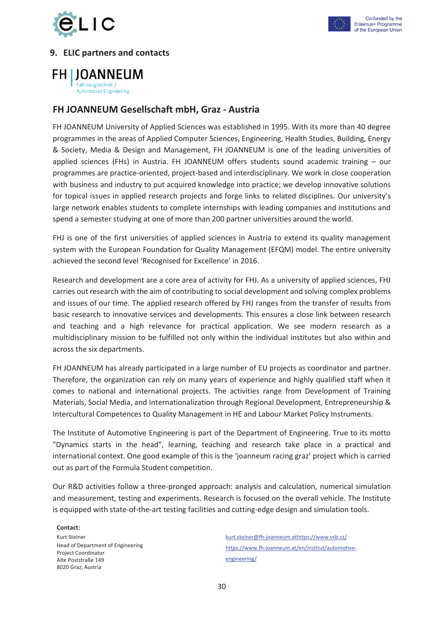



#### Co-funded by the Erasmus+ Programme of the European Union

#### **9. ELIC partners and contacts**

**FH I JOANNEUM** Fahrzeugtechnik /

**Automotive Engineering** 

#### **FH JOANNEUM Gesellschaft mbH, Graz - Austria**

FH JOANNEUM University of Applied Sciences was established in 1995. With its more than 40 degree programmes in the areas of Applied Computer Sciences, Engineering, Health Studies, Building, Energy & Society, Media & Design and Management, FH JOANNEUM is one of the leading universities of applied sciences (FHs) in Austria. FH JOANNEUM offers students sound academic training – our programmes are practice-oriented, project-based and interdisciplinary. We work in close cooperation with business and industry to put acquired knowledge into practice; we develop innovative solutions for topical issues in applied research projects and forge links to related disciplines. Our university's large network enables students to complete internships with leading companies and institutions and spend a semester studying at one of more than 200 partner universities around the world.

FHJ is one of the first universities of applied sciences in Austria to extend its quality management system with the European Foundation for Quality Management (EFQM) model. The entire university achieved the second level 'Recognised for Excellence' in 2016.

Research and development are a core area of activity for FHJ. As a university of applied sciences, FHJ carries out research with the aim of contributing to social development and solving complex problems and issues of our time. The applied research offered by FHJ ranges from the transfer of results from basic research to innovative services and developments. This ensures a close link between research and teaching and a high relevance for practical application. We see modern research as a multidisciplinary mission to be fulfilled not only within the individual institutes but also within and across the six departments.

FH JOANNEUM has already participated in a large number of EU projects as coordinator and partner. Therefore, the organization can rely on many years of experience and highly qualified staff when it comes to national and international projects. The activities range from Development of Training Materials, Social Media, and Internationalization through Regional Development, Entrepreneurship & Intercultural Competences to Quality Management in HE and Labour Market Policy Instruments.

The Institute of Automotive Engineering is part of the Department of Engineering. True to its motto "Dynamics starts in the head", learning, teaching and research take place in a practical and international context. One good example of this is the 'joanneum racing graz' project which is carried out as part of the Formula Student competition.

Our R&D activities follow a three-pronged approach: analysis and calculation, numerical simulation and measurement, testing and experiments. Research is focused on the overall vehicle. The Institute is equipped with state-of-the-art testing facilities and cutting-edge design and simulation tools.

**Contact:**  Kurt Steiner Head of Department of Engineering Project Coordinator Alte Poststraße 149 8020 Graz, Austria

kurt.steiner@fh-joanneum.athttps://www.vsb.cz/ https://www.fh-joanneum.at/en/institut/automotiveengineering/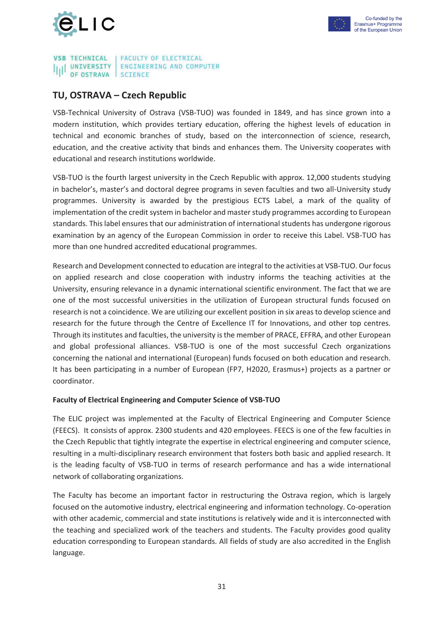



#### **VSB TECHNICAL FACULTY OF ELECTRICAL UNIVERSITY ENGINEERING AND COMPUTER** OF OSTRAVA **SCIENCE**

#### **TU, OSTRAVA – Czech Republic**

VSB-Technical University of Ostrava (VSB-TUO) was founded in 1849, and has since grown into a modern institution, which provides tertiary education, offering the highest levels of education in technical and economic branches of study, based on the interconnection of science, research, education, and the creative activity that binds and enhances them. The University cooperates with educational and research institutions worldwide.

VSB-TUO is the fourth largest university in the Czech Republic with approx. 12,000 students studying in bachelor's, master's and doctoral degree programs in seven faculties and two all-University study programmes. University is awarded by the prestigious ECTS Label, a mark of the quality of implementation of the credit system in bachelor and master study programmes according to European standards. This label ensures that our administration of international students has undergone rigorous examination by an agency of the European Commission in order to receive this Label. VSB-TUO has more than one hundred accredited educational programmes.

Research and Development connected to education are integral to the activities at VSB-TUO. Our focus on applied research and close cooperation with industry informs the teaching activities at the University, ensuring relevance in a dynamic international scientific environment. The fact that we are one of the most successful universities in the utilization of European structural funds focused on research is not a coincidence. We are utilizing our excellent position in six areas to develop science and research for the future through the Centre of Excellence IT for Innovations, and other top centres. Through its institutes and faculties, the university is the member of PRACE, EFFRA, and other European and global professional alliances. VSB-TUO is one of the most successful Czech organizations concerning the national and international (European) funds focused on both education and research. It has been participating in a number of European (FP7, H2020, Erasmus+) projects as a partner or coordinator.

#### **Faculty of Electrical Engineering and Computer Science of VSB-TUO**

The ELIC project was implemented at the Faculty of Electrical Engineering and Computer Science (FEECS). It consists of approx. 2300 students and 420 employees. FEECS is one of the few faculties in the Czech Republic that tightly integrate the expertise in electrical engineering and computer science, resulting in a multi-disciplinary research environment that fosters both basic and applied research. It is the leading faculty of VSB-TUO in terms of research performance and has a wide international network of collaborating organizations.

The Faculty has become an important factor in restructuring the Ostrava region, which is largely focused on the automotive industry, electrical engineering and information technology. Co-operation with other academic, commercial and state institutions is relatively wide and it is interconnected with the teaching and specialized work of the teachers and students. The Faculty provides good quality education corresponding to European standards. All fields of study are also accredited in the English language.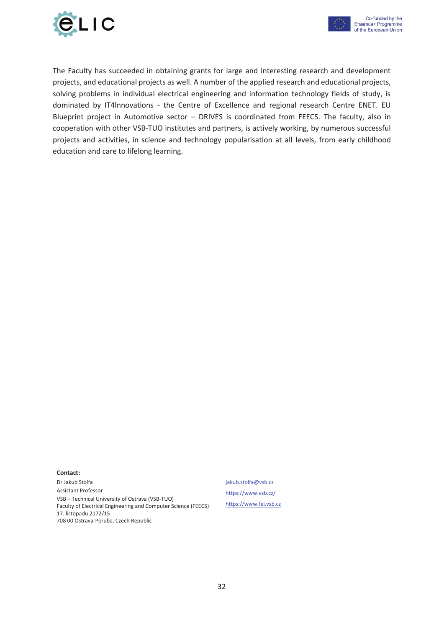



The Faculty has succeeded in obtaining grants for large and interesting research and development projects, and educational projects as well. A number of the applied research and educational projects, solving problems in individual electrical engineering and information technology fields of study, is dominated by IT4lnnovations - the Centre of Excellence and regional research Centre ENET. EU Blueprint project in Automotive sector – DRIVES is coordinated from FEECS. The faculty, also in cooperation with other VSB-TUO institutes and partners, is actively working, by numerous successful projects and activities, in science and technology popularisation at all levels, from early childhood education and care to lifelong learning.

#### **Contact:**

Dr Jakub Stolfa Assistant Professor VSB – Technical University of Ostrava (VSB-TUO) Faculty of Electrical Engineering and Computer Science (FEECS) 17. listopadu 2172/15 708 00 Ostrava-Poruba, Czech Republic

#### jakub.stolfa@vsb.cz

https://www.vsb.cz/ https://www.fei.vsb.cz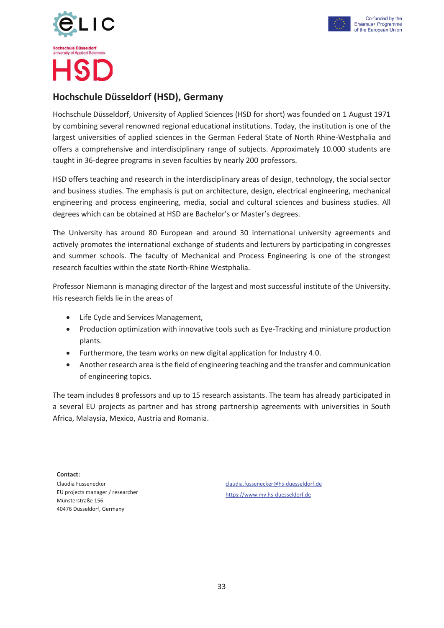



## **Hochschule Düsseldorf (HSD), Germany**

Hochschule Düsseldorf, University of Applied Sciences (HSD for short) was founded on 1 August 1971 by combining several renowned regional educational institutions. Today, the institution is one of the largest universities of applied sciences in the German Federal State of North Rhine-Westphalia and offers a comprehensive and interdisciplinary range of subjects. Approximately 10.000 students are taught in 36-degree programs in seven faculties by nearly 200 professors.

HSD offers teaching and research in the interdisciplinary areas of design, technology, the social sector and business studies. The emphasis is put on architecture, design, electrical engineering, mechanical engineering and process engineering, media, social and cultural sciences and business studies. All degrees which can be obtained at HSD are Bachelor's or Master's degrees.

The University has around 80 European and around 30 international university agreements and actively promotes the international exchange of students and lecturers by participating in congresses and summer schools. The faculty of Mechanical and Process Engineering is one of the strongest research faculties within the state North-Rhine Westphalia.

Professor Niemann is managing director of the largest and most successful institute of the University. His research fields lie in the areas of

- Life Cycle and Services Management.
- Production optimization with innovative tools such as Eye-Tracking and miniature production plants.
- Furthermore, the team works on new digital application for Industry 4.0.
- Another research area is the field of engineering teaching and the transfer and communication of engineering topics.

The team includes 8 professors and up to 15 research assistants. The team has already participated in a several EU projects as partner and has strong partnership agreements with universities in South Africa, Malaysia, Mexico, Austria and Romania.

**Contact:**  Claudia Fussenecker EU projects manager / researcher Münsterstraße 156 40476 Düsseldorf, Germany

claudia.fussenecker@hs-duesseldorf.de https://www.mv.hs-duesseldorf.de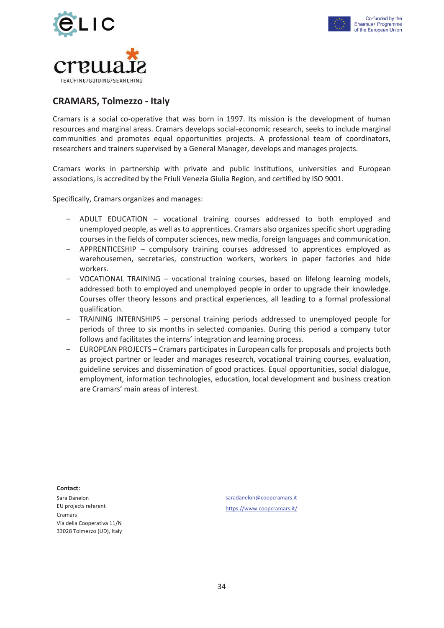



#### **CRAMARS, Tolmezzo - Italy**

Cramars is a social co-operative that was born in 1997. Its mission is the development of human resources and marginal areas. Cramars develops social-economic research, seeks to include marginal communities and promotes equal opportunities projects. A professional team of coordinators, researchers and trainers supervised by a General Manager, develops and manages projects.

Cramars works in partnership with private and public institutions, universities and European associations, is accredited by the Friuli Venezia Giulia Region, and certified by ISO 9001.

Specifically, Cramars organizes and manages:

- − ADULT EDUCATION vocational training courses addressed to both employed and unemployed people, as well as to apprentices. Cramars also organizes specific short upgrading courses in the fields of computer sciences, new media, foreign languages and communication.
- − APPRENTICESHIP compulsory training courses addressed to apprentices employed as warehousemen, secretaries, construction workers, workers in paper factories and hide workers.
- − VOCATIONAL TRAINING vocational training courses, based on lifelong learning models, addressed both to employed and unemployed people in order to upgrade their knowledge. Courses offer theory lessons and practical experiences, all leading to a formal professional qualification.
- − TRAINING INTERNSHIPS personal training periods addressed to unemployed people for periods of three to six months in selected companies. During this period a company tutor follows and facilitates the interns' integration and learning process.
- − EUROPEAN PROJECTS Cramars participates in European calls for proposals and projects both as project partner or leader and manages research, vocational training courses, evaluation, guideline services and dissemination of good practices. Equal opportunities, social dialogue, employment, information technologies, education, local development and business creation are Cramars' main areas of interest.

**Contact:**  Sara Danelon EU projects referent Cramars Via della Cooperativa 11/N 33028 Tolmezzo (UD), Italy

saradanelon@coopcramars.it https://www.coopcramars.it/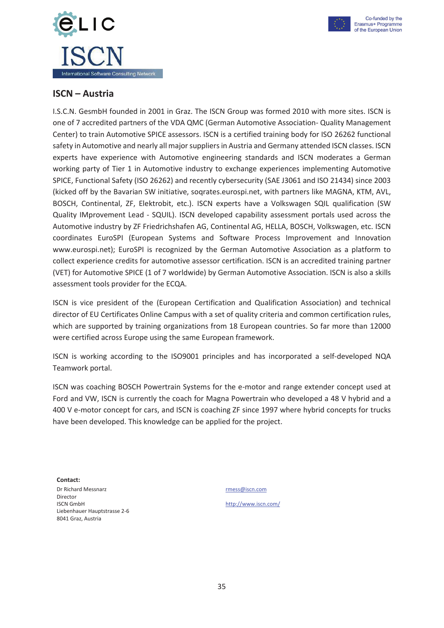



 $\overline{\phantom{a}}$ 

#### **ISCN – Austria**

I.S.C.N. GesmbH founded in 2001 in Graz. The ISCN Group was formed 2010 with more sites. ISCN is one of 7 accredited partners of the VDA QMC (German Automotive Association- Quality Management Center) to train Automotive SPICE assessors. ISCN is a certified training body for ISO 26262 functional safety in Automotive and nearly all major suppliers in Austria and Germany attended ISCN classes. ISCN experts have experience with Automotive engineering standards and ISCN moderates a German working party of Tier 1 in Automotive industry to exchange experiences implementing Automotive SPICE, Functional Safety (ISO 26262) and recently cybersecurity (SAE J3061 and ISO 21434) since 2003 (kicked off by the Bavarian SW initiative, soqrates.eurospi.net, with partners like MAGNA, KTM, AVL, BOSCH, Continental, ZF, Elektrobit, etc.). ISCN experts have a Volkswagen SQIL qualification (SW Quality IMprovement Lead - SQUIL). ISCN developed capability assessment portals used across the Automotive industry by ZF Friedrichshafen AG, Continental AG, HELLA, BOSCH, Volkswagen, etc. ISCN coordinates EuroSPI (European Systems and Software Process Improvement and Innovation www.eurospi.net); EuroSPI is recognized by the German Automotive Association as a platform to collect experience credits for automotive assessor certification. ISCN is an accredited training partner (VET) for Automotive SPICE (1 of 7 worldwide) by German Automotive Association. ISCN is also a skills assessment tools provider for the ECQA.

ISCN is vice president of the (European Certification and Qualification Association) and technical director of EU Certificates Online Campus with a set of quality criteria and common certification rules, which are supported by training organizations from 18 European countries. So far more than 12000 were certified across Europe using the same European framework.

ISCN is working according to the ISO9001 principles and has incorporated a self-developed NQA Teamwork portal.

ISCN was coaching BOSCH Powertrain Systems for the e-motor and range extender concept used at Ford and VW, ISCN is currently the coach for Magna Powertrain who developed a 48 V hybrid and a 400 V e-motor concept for cars, and ISCN is coaching ZF since 1997 where hybrid concepts for trucks have been developed. This knowledge can be applied for the project.

**Contact:** Dr Richard Messnarz Director ISCN GmbH Liebenhauer Hauptstrasse 2-6 8041 Graz, Austria

rmess@iscn.com

http://www.iscn.com/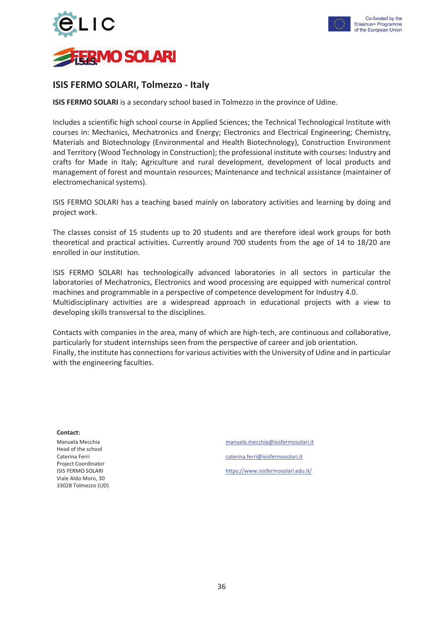



#### **ISIS FERMO SOLARI, Tolmezzo - Italy**

**ISIS FERMO SOLARI** is a secondary school based in Tolmezzo in the province of Udine.

Includes a scientific high school course in Applied Sciences; the Technical Technological Institute with courses in: Mechanics, Mechatronics and Energy; Electronics and Electrical Engineering; Chemistry, Materials and Biotechnology (Environmental and Health Biotechnology), Construction Environment and Territory (Wood Technology in Construction); the professional institute with courses: Industry and crafts for Made in Italy; Agriculture and rural development, development of local products and management of forest and mountain resources; Maintenance and technical assistance (maintainer of electromechanical systems).

ISIS FERMO SOLARI has a teaching based mainly on laboratory activities and learning by doing and project work.

The classes consist of 15 students up to 20 students and are therefore ideal work groups for both theoretical and practical activities. Currently around 700 students from the age of 14 to 18/20 are enrolled in our institution.

ISIS FERMO SOLARI has technologically advanced laboratories in all sectors in particular the laboratories of Mechatronics, Electronics and wood processing are equipped with numerical control machines and programmable in a perspective of competence development for Industry 4.0. Multidisciplinary activities are a widespread approach in educational projects with a view to developing skills transversal to the disciplines.

Contacts with companies in the area, many of which are high-tech, are continuous and collaborative, particularly for student internships seen from the perspective of career and job orientation. Finally, the institute has connections for various activities with the University of Udine and in particular with the engineering faculties.

**Contact:**

Manuela Mecchia Head of the school Caterina Ferri Project Coordinator ISIS FERMO SOLARI Viale Aldo Moro, 30 33028 Tolmezzo (UD) manuela.mecchia@isisfermosolari.it caterina.ferri@isisfermosolari.it https://www.isisfermosolari.edu.it/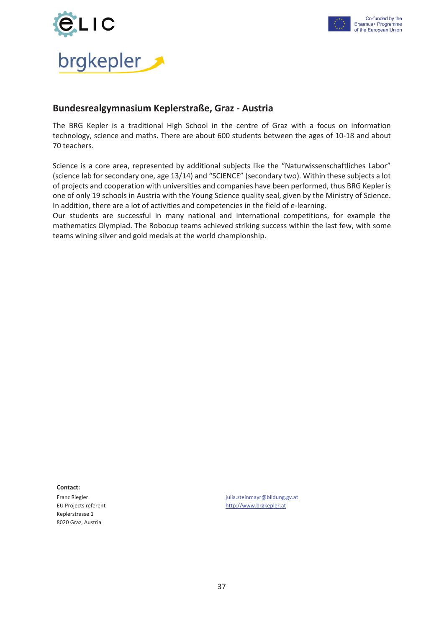



#### **Bundesrealgymnasium Keplerstraße, Graz - Austria**

The BRG Kepler is a traditional High School in the centre of Graz with a focus on information technology, science and maths. There are about 600 students between the ages of 10-18 and about 70 teachers.

Science is a core area, represented by additional subjects like the "Naturwissenschaftliches Labor" (science lab for secondary one, age 13/14) and "SCIENCE" (secondary two). Within these subjects a lot of projects and cooperation with universities and companies have been performed, thus BRG Kepler is one of only 19 schools in Austria with the Young Science quality seal, given by the Ministry of Science. In addition, there are a lot of activities and competencies in the field of e-learning.

Our students are successful in many national and international competitions, for example the mathematics Olympiad. The Robocup teams achieved striking success within the last few, with some teams wining silver and gold medals at the world championship.

**Contact:**

Franz Riegler EU Projects referent Keplerstrasse 1 8020 Graz, Austria

julia.steinmayr@bildung.gv.at http://www.brgkepler.at